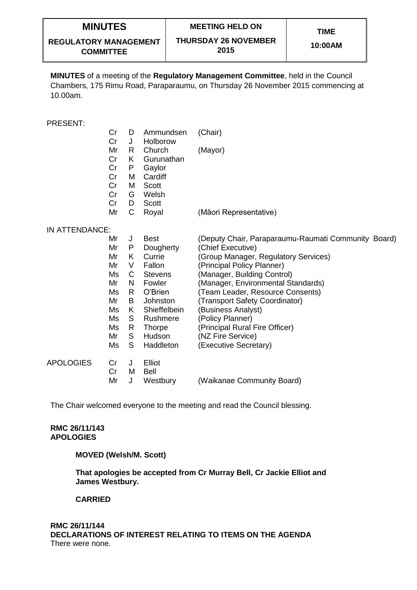**REGULATORY MANAGEMENT COMMITTEE**

**10:00AM**

**MINUTES** of a meeting of the **Regulatory Management Committee**, held in the Council Chambers, 175 Rimu Road, Paraparaumu, on Thursday 26 November 2015 commencing at 10.00am.

### PRESENT:

- Cr D Ammundsen (Chair)
- Cr J Holborow
- Mr R Church (Mayor)
- Cr K Gurunathan
- Cr P Gaylor
- Cr Cr M Cardiff
- M Scott Cr
- G Welsh
- Cr D Scott
- Mr C Royal (Māori Representative)

#### IN ATTENDANCE:

|                  | Mr<br>Mr | J<br>P | <b>Best</b><br>Dougherty | (Deputy Chair, Paraparaumu-Raumati Community Board)<br>(Chief Executive) |
|------------------|----------|--------|--------------------------|--------------------------------------------------------------------------|
|                  | Mr       | K.     | Currie                   | (Group Manager, Regulatory Services)                                     |
|                  | Mr       | V      | Fallon                   | (Principal Policy Planner)                                               |
|                  | Ms       | С      | <b>Stevens</b>           | (Manager, Building Control)                                              |
|                  | Mr       | N      | Fowler                   | (Manager, Environmental Standards)                                       |
|                  | Ms       | R.     | O'Brien                  | (Team Leader, Resource Consents)                                         |
|                  | Mr       | В      | Johnston                 | (Transport Safety Coordinator)                                           |
|                  | Ms       | K.     | Shieffelbein             | (Business Analyst)                                                       |
|                  | Ms       | S      | Rushmere                 | (Policy Planner)                                                         |
|                  | Ms       | R      | <b>Thorpe</b>            | (Principal Rural Fire Officer)                                           |
|                  | Mr       | S      | Hudson                   | (NZ Fire Service)                                                        |
|                  | Ms       | S      | Haddleton                | (Executive Secretary)                                                    |
| <b>APOLOGIES</b> | Cr       | J      | Elliot                   |                                                                          |
|                  | Cr       | м      | Bell                     |                                                                          |
|                  | Mr       | J      | Westbury                 | (Waikanae Community Board)                                               |

The Chair welcomed everyone to the meeting and read the Council blessing.

### **RMC 26/11/143 APOLOGIES**

#### **MOVED (Welsh/M. Scott)**

**That apologies be accepted from Cr Murray Bell, Cr Jackie Elliot and James Westbury.**

# **CARRIED**

# **RMC 26/11/144 DECLARATIONS OF INTEREST RELATING TO ITEMS ON THE AGENDA** There were none.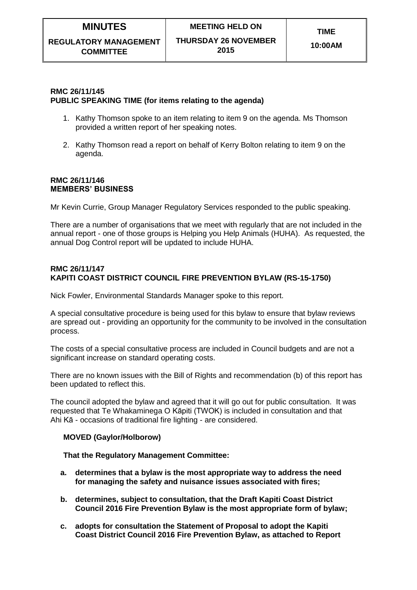### **10:00AM**

# **RMC 26/11/145 PUBLIC SPEAKING TIME (for items relating to the agenda)**

- 1. Kathy Thomson spoke to an item relating to item 9 on the agenda. Ms Thomson provided a written report of her speaking notes.
- 2. Kathy Thomson read a report on behalf of Kerry Bolton relating to item 9 on the agenda.

#### **RMC 26/11/146 MEMBERS' BUSINESS**

Mr Kevin Currie, Group Manager Regulatory Services responded to the public speaking.

There are a number of organisations that we meet with regularly that are not included in the annual report - one of those groups is Helping you Help Animals (HUHA). As requested, the annual Dog Control report will be updated to include HUHA.

### **RMC 26/11/147 KAPITI COAST DISTRICT COUNCIL FIRE PREVENTION BYLAW (RS-15-1750)**

Nick Fowler, Environmental Standards Manager spoke to this report.

A special consultative procedure is being used for this bylaw to ensure that bylaw reviews are spread out - providing an opportunity for the community to be involved in the consultation process.

The costs of a special consultative process are included in Council budgets and are not a significant increase on standard operating costs.

There are no known issues with the Bill of Rights and recommendation (b) of this report has been updated to reflect this.

The council adopted the bylaw and agreed that it will go out for public consultation. It was requested that Te Whakaminega O Kāpiti (TWOK) is included in consultation and that Ahi Kā - occasions of traditional fire lighting - are considered.

# **MOVED (Gaylor/Holborow)**

#### **That the Regulatory Management Committee:**

- **a. determines that a bylaw is the most appropriate way to address the need for managing the safety and nuisance issues associated with fires;**
- **b. determines, subject to consultation, that the Draft Kapiti Coast District Council 2016 Fire Prevention Bylaw is the most appropriate form of bylaw;**
- **c. adopts for consultation the Statement of Proposal to adopt the Kapiti Coast District Council 2016 Fire Prevention Bylaw, as attached to Report**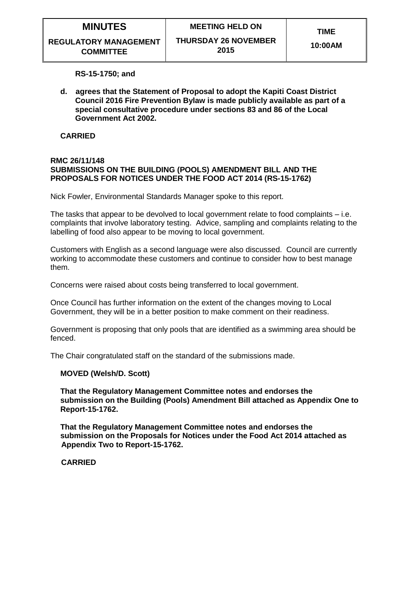**REGULATORY MANAGEMENT COMMITTEE**

**RS-15-1750; and**

**d. agrees that the Statement of Proposal to adopt the Kapiti Coast District Council 2016 Fire Prevention Bylaw is made publicly available as part of a special consultative procedure under sections 83 and 86 of the Local Government Act 2002.**

#### **CARRIED**

#### **RMC 26/11/148 SUBMISSIONS ON THE BUILDING (POOLS) AMENDMENT BILL AND THE PROPOSALS FOR NOTICES UNDER THE FOOD ACT 2014 (RS-15-1762)**

Nick Fowler, Environmental Standards Manager spoke to this report.

The tasks that appear to be devolved to local government relate to food complaints – i.e. complaints that involve laboratory testing. Advice, sampling and complaints relating to the labelling of food also appear to be moving to local government.

Customers with English as a second language were also discussed. Council are currently working to accommodate these customers and continue to consider how to best manage them.

Concerns were raised about costs being transferred to local government.

Once Council has further information on the extent of the changes moving to Local Government, they will be in a better position to make comment on their readiness.

Government is proposing that only pools that are identified as a swimming area should be fenced.

The Chair congratulated staff on the standard of the submissions made.

#### **MOVED (Welsh/D. Scott)**

**That the Regulatory Management Committee notes and endorses the submission on the Building (Pools) Amendment Bill attached as Appendix One to Report-15-1762.**

**That the Regulatory Management Committee notes and endorses the submission on the Proposals for Notices under the Food Act 2014 attached as Appendix Two to Report-15-1762.**

#### **CARRIED**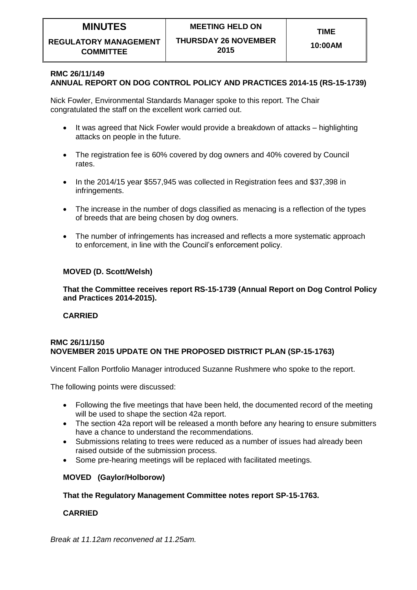**REGULATORY MANAGEMENT COMMITTEE**

#### **10:00AM**

# **RMC 26/11/149**

# **ANNUAL REPORT ON DOG CONTROL POLICY AND PRACTICES 2014-15 (RS-15-1739)**

Nick Fowler, Environmental Standards Manager spoke to this report. The Chair congratulated the staff on the excellent work carried out.

- It was agreed that Nick Fowler would provide a breakdown of attacks highlighting attacks on people in the future.
- The registration fee is 60% covered by dog owners and 40% covered by Council rates.
- In the 2014/15 year \$557,945 was collected in Registration fees and \$37,398 in infringements.
- The increase in the number of dogs classified as menacing is a reflection of the types of breeds that are being chosen by dog owners.
- The number of infringements has increased and reflects a more systematic approach to enforcement, in line with the Council's enforcement policy.

# **MOVED (D. Scott/Welsh)**

**That the Committee receives report RS-15-1739 (Annual Report on Dog Control Policy and Practices 2014-2015).**

# **CARRIED**

#### **RMC 26/11/150 NOVEMBER 2015 UPDATE ON THE PROPOSED DISTRICT PLAN (SP-15-1763)**

Vincent Fallon Portfolio Manager introduced Suzanne Rushmere who spoke to the report.

The following points were discussed:

- Following the five meetings that have been held, the documented record of the meeting will be used to shape the section 42a report.
- The section 42a report will be released a month before any hearing to ensure submitters have a chance to understand the recommendations.
- Submissions relating to trees were reduced as a number of issues had already been raised outside of the submission process.
- Some pre-hearing meetings will be replaced with facilitated meetings.

# **MOVED (Gaylor/Holborow)**

# **That the Regulatory Management Committee notes report SP-15-1763.**

# **CARRIED**

*Break at 11.12am reconvened at 11.25am.*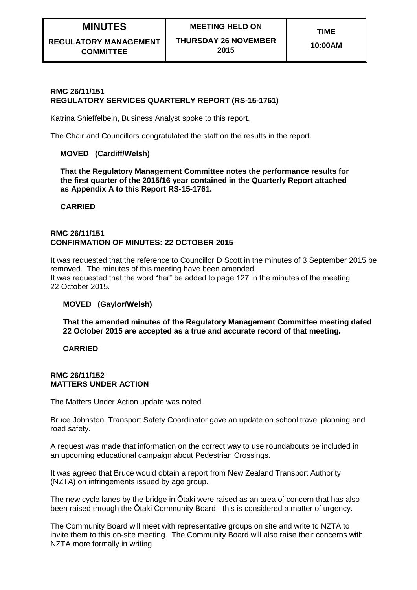# **RMC 26/11/151 REGULATORY SERVICES QUARTERLY REPORT (RS-15-1761)**

Katrina Shieffelbein, Business Analyst spoke to this report.

The Chair and Councillors congratulated the staff on the results in the report.

# **MOVED (Cardiff/Welsh)**

**That the Regulatory Management Committee notes the performance results for the first quarter of the 2015/16 year contained in the Quarterly Report attached as Appendix A to this Report RS-15-1761.**

#### **CARRIED**

#### **RMC 26/11/151 CONFIRMATION OF MINUTES: 22 OCTOBER 2015**

It was requested that the reference to Councillor D Scott in the minutes of 3 September 2015 be removed. The minutes of this meeting have been amended. It was requested that the word "her" be added to page 127 in the minutes of the meeting 22 October 2015.

# **MOVED (Gaylor/Welsh)**

**That the amended minutes of the Regulatory Management Committee meeting dated 22 October 2015 are accepted as a true and accurate record of that meeting.** 

# **CARRIED**

#### **RMC 26/11/152 MATTERS UNDER ACTION**

The Matters Under Action update was noted.

Bruce Johnston, Transport Safety Coordinator gave an update on school travel planning and road safety.

A request was made that information on the correct way to use roundabouts be included in an upcoming educational campaign about Pedestrian Crossings.

It was agreed that Bruce would obtain a report from New Zealand Transport Authority (NZTA) on infringements issued by age group.

The new cycle lanes by the bridge in Ōtaki were raised as an area of concern that has also been raised through the Ōtaki Community Board - this is considered a matter of urgency.

The Community Board will meet with representative groups on site and write to NZTA to invite them to this on-site meeting. The Community Board will also raise their concerns with NZTA more formally in writing.